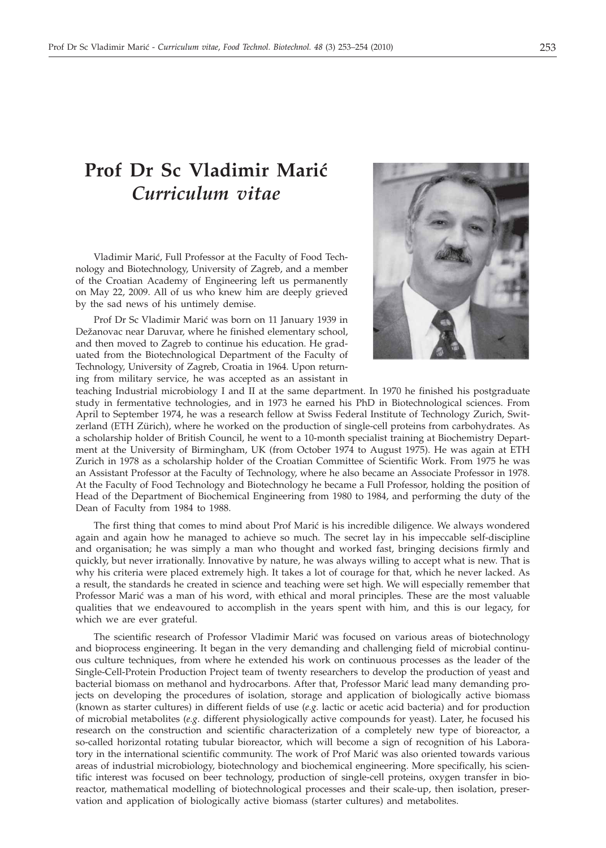## **Prof Dr Sc Vladimir Mari}** *Curriculum vitae*

Vladimir Marić, Full Professor at the Faculty of Food Technology and Biotechnology, University of Zagreb, and a member of the Croatian Academy of Engineering left us permanently on May 22, 2009. All of us who knew him are deeply grieved by the sad news of his untimely demise.

Prof Dr Sc Vladimir Marić was born on 11 January 1939 in Dežanovac near Daruvar, where he finished elementary school, and then moved to Zagreb to continue his education. He graduated from the Biotechnological Department of the Faculty of Technology, University of Zagreb, Croatia in 1964. Upon returning from military service, he was accepted as an assistant in



teaching Industrial microbiology I and II at the same department. In 1970 he finished his postgraduate study in fermentative technologies, and in 1973 he earned his PhD in Biotechnological sciences. From April to September 1974, he was a research fellow at Swiss Federal Institute of Technology Zurich, Switzerland (ETH Zürich), where he worked on the production of single-cell proteins from carbohydrates. As a scholarship holder of British Council, he went to a 10-month specialist training at Biochemistry Department at the University of Birmingham, UK (from October 1974 to August 1975). He was again at ETH Zurich in 1978 as a scholarship holder of the Croatian Committee of Scientific Work. From 1975 he was an Assistant Professor at the Faculty of Technology, where he also became an Associate Professor in 1978. At the Faculty of Food Technology and Biotechnology he became a Full Professor, holding the position of Head of the Department of Biochemical Engineering from 1980 to 1984, and performing the duty of the Dean of Faculty from 1984 to 1988.

The first thing that comes to mind about Prof Marić is his incredible diligence. We always wondered again and again how he managed to achieve so much. The secret lay in his impeccable self-discipline and organisation; he was simply a man who thought and worked fast, bringing decisions firmly and quickly, but never irrationally. Innovative by nature, he was always willing to accept what is new. That is why his criteria were placed extremely high. It takes a lot of courage for that, which he never lacked. As a result, the standards he created in science and teaching were set high. We will especially remember that Professor Marić was a man of his word, with ethical and moral principles. These are the most valuable qualities that we endeavoured to accomplish in the years spent with him, and this is our legacy, for which we are ever grateful.

The scientific research of Professor Vladimir Marić was focused on various areas of biotechnology and bioprocess engineering. It began in the very demanding and challenging field of microbial continuous culture techniques, from where he extended his work on continuous processes as the leader of the Single-Cell-Protein Production Project team of twenty researchers to develop the production of yeast and bacterial biomass on methanol and hydrocarbons. After that, Professor Marić lead many demanding projects on developing the procedures of isolation, storage and application of biologically active biomass (known as starter cultures) in different fields of use (*e.g.* lactic or acetic acid bacteria) and for production of microbial metabolites (*e.g*. different physiologically active compounds for yeast). Later, he focused his research on the construction and scientific characterization of a completely new type of bioreactor, a so-called horizontal rotating tubular bioreactor, which will become a sign of recognition of his Laboratory in the international scientific community. The work of Prof Marić was also oriented towards various areas of industrial microbiology, biotechnology and biochemical engineering. More specifically, his scientific interest was focused on beer technology, production of single-cell proteins, oxygen transfer in bioreactor, mathematical modelling of biotechnological processes and their scale-up, then isolation, preservation and application of biologically active biomass (starter cultures) and metabolites.